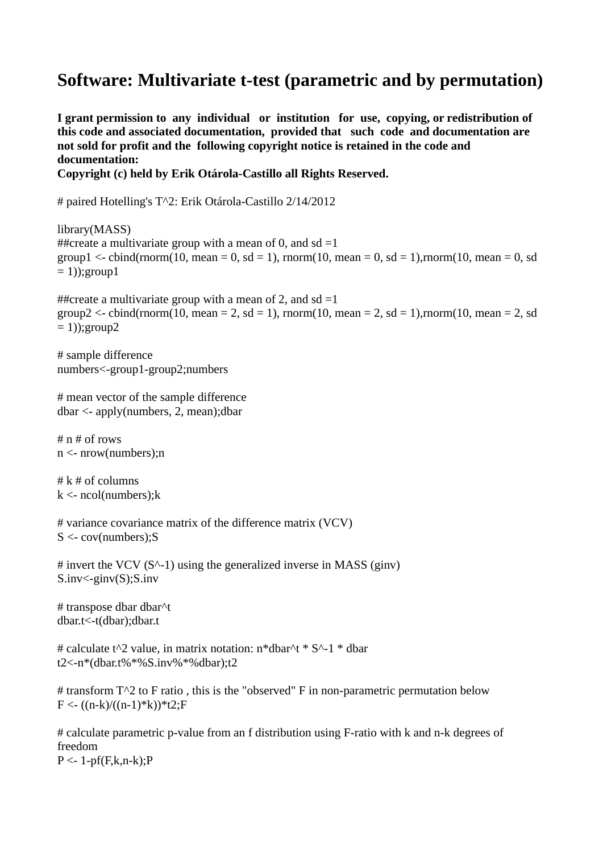## **Software: Multivariate t-test (parametric and by permutation)**

**I grant permission to any individual or institution for use, copying, or redistribution of this code and associated documentation, provided that such code and documentation are not sold for profit and the following copyright notice is retained in the code and documentation:**

**Copyright (c) held by Erik Otárola-Castillo all Rights Reserved.**

# paired Hotelling's T^2: Erik Otárola-Castillo 2/14/2012

library(MASS) ##create a multivariate group with a mean of 0, and sd  $=1$ group1 <- cbind(rnorm(10, mean = 0, sd = 1), rnorm(10, mean = 0, sd = 1), rnorm(10, mean = 0, sd  $= 1$ ); group 1

##create a multivariate group with a mean of 2, and sd =1 group2 <- cbind(rnorm(10, mean = 2, sd = 1), rnorm(10, mean = 2, sd = 1), rnorm(10, mean = 2, sd  $= 1$ ); group  $2$ 

# sample difference numbers<-group1-group2;numbers

```
# mean vector of the sample difference
dbar <- apply(numbers, 2, mean);dbar
```
# n # of rows n <- nrow(numbers);n

 $# k # of columns$  $k < -\text{ncol}(\text{numbers});k$ 

```
# variance covariance matrix of the difference matrix (VCV)
S \leq \text{cov}(\text{numbers}); S
```
 $\#$  invert the VCV (S<sup> $\land$ </sup>-1) using the generalized inverse in MASS (ginv)  $S.inv < -ginv(S); S.inv$ 

# transpose dbar dbar^t dbar.t<-t(dbar);dbar.t

# calculate t^2 value, in matrix notation: n\*dbar^t \* S^-1 \* dbar t2<-n\*(dbar.t%\*%S.inv%\*%dbar);t2

# transform  $T^2$  to F ratio, this is the "observed" F in non-parametric permutation below  $F < -(n-k)/((n-1)*k)*t2;F$ 

# calculate parametric p-value from an f distribution using F-ratio with k and n-k degrees of freedom  $P < -1-pf(F,k,n-k);P$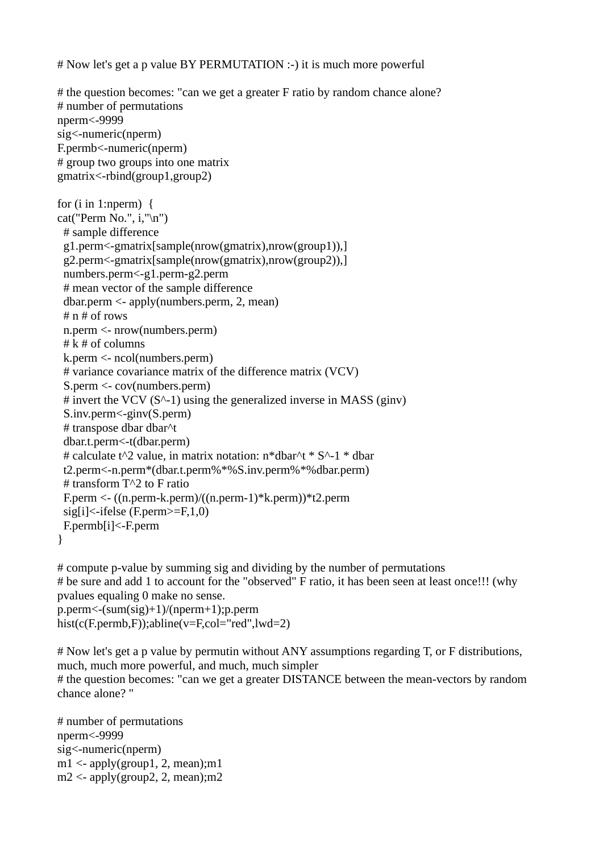# Now let's get a p value BY PERMUTATION :-) it is much more powerful

# the question becomes: "can we get a greater F ratio by random chance alone? # number of permutations nperm<-9999 sig<-numeric(nperm) F.permb<-numeric(nperm) # group two groups into one matrix gmatrix<-rbind(group1,group2) for  $(i$  in 1:nperm) { cat("Perm No.", i,"\n") # sample difference g1.perm<-gmatrix[sample(nrow(gmatrix),nrow(group1)),] g2.perm<-gmatrix[sample(nrow(gmatrix),nrow(group2)),] numbers.perm<-g1.perm-g2.perm # mean vector of the sample difference dbar.perm <- apply(numbers.perm, 2, mean) # n # of rows n.perm <- nrow(numbers.perm)  $# k # of columns$ k.perm <- ncol(numbers.perm) # variance covariance matrix of the difference matrix (VCV) S.perm <- cov(numbers.perm) # invert the VCV  $(S^{\wedge}-1)$  using the generalized inverse in MASS (ginv) S.inv.perm<-ginv(S.perm) # transpose dbar dbar^t dbar.t.perm<-t(dbar.perm) # calculate t^2 value, in matrix notation: n\*dbar^t \* S^-1 \* dbar t2.perm<-n.perm\*(dbar.t.perm%\*%S.inv.perm%\*%dbar.perm) # transform T^2 to F ratio F.perm <- ((n.perm-k.perm)/((n.perm-1)\*k.perm))\*t2.perm  $sig[i] \leq$ -ifelse (F.perm $>=$ F,1,0) F.permb[i]<-F.perm }

# compute p-value by summing sig and dividing by the number of permutations # be sure and add 1 to account for the "observed" F ratio, it has been seen at least once!!! (why pvalues equaling 0 make no sense.

```
p.perm<-(sum(sig)+1)/(nperm+1);p.perm
hist(c(F.permb,F));abline(v=F,col="red",lwd=2)
```
# Now let's get a p value by permutin without ANY assumptions regarding T, or F distributions, much, much more powerful, and much, much simpler # the question becomes: "can we get a greater DISTANCE between the mean-vectors by random chance alone? "

# number of permutations nperm<-9999 sig<-numeric(nperm)  $ml <$ - apply(group1, 2, mean);m1  $m2 <$ - apply(group2, 2, mean);m2